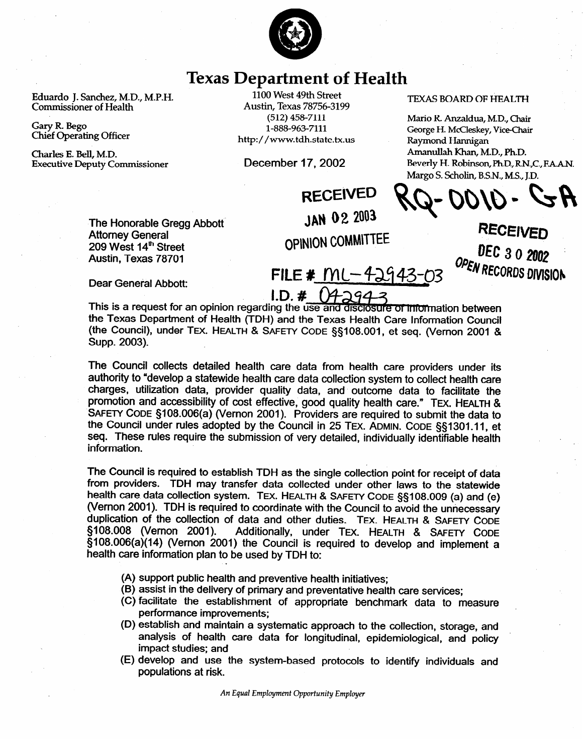

## **Texas Department of Health**

Eduardo J. Sanchez, M.D., M.P.H. **Commissioner of Health** 

**Gary R. Bego Chief Operating Officer** 

**Charles E. Bell, M.D. Executive Deputy Commissioner** 

**1100 West 49th Street Austin, Texas 78756-3199**  (512) 458-7111 l-888-963-7111 **http://www.tdh.state.tx.us** 

December 17,2002

## **TEXAS BOARD OF HEALTH**

**Mario R Anzaldua, MD, Chair George H. McCleskey, Vice-Chair Raymond Hannigan Amanullah Khan, M.D., Ph.D.**  Beverly H. Robinson, Ph.D., R.N., C., F.A.A.N. **Margo S. Scholin, B-S-N., MS., J.D.** 

**RECEIVED JAN 02 2003** 

The Honorable Gregg Abbott<br>Attorney General 209 West 14th Street 209 West 14" Street  $7$  about, Texas  $78701$ 

**OPINION COMMITTEE** 

**RECEIV MCU 3 0 2002**<br>Process **FILE # MC-42943-03** WRCORDS DIVISION

Dear General Abbott:

**I.D. # (42943**<br>This is a request for an opinion regarding the use and disclosure of information between the Texas Department of Health (TDH) and the Texas Health Care Information Council the Council) under TEX HEALTH (TEXT THE CODE SAND DOLL of Second Memory COUNCIL) (the Council), under Tut. HEALTH & **SAFETY CODE §5108.001,** et seq. (Vernon 2001 & Supp. 2003).

The Council collects detailed health care data from health care providers under its authority to "develop a statewide health care data collection system to collect health care charges, utilization data, provider quality data, and outcome data to facilitate the promotion and accessibility of cost effective, good quality health care." TEX. HEALTH & SAFETY CODE §108.006(a) (Vernon 2001). Providers are required to submit the data to the Council under rules adopted by the Council in 25 TEX. ADMIN. CODE §§1301.11, et the Council under require the submission of very detailed individually identifiable health information. These rules requires require the submission of very detailed, individually identifiable health.

The Council is required to establish TDH as the single collection point for receipt of data from providers. TDH may transfer data collected under other laws to the statewide health care data collection system. TEX. HEALTH & SAFETY CODE §§108.009 (a) and (e) (Vernon 2001). TDH is required to coordinate with the Council to avoid the unnecessary duplication of the collection of data and other duties. TEX. HEALTH & SAFETY CODE §108.008 (Vernon 2001). Additionally, under TEX. HEALTH & SAFETY CODE §108.006(a)(14) (Vernon 2001) the Council is required to develop and implement a health care information plan to be used by TDH to: health care information plan to be used by TDH to:

- (A) support public health and preventive health initiatives;
- (B) assist in the delivery of primary and preventative health care services;
- (C) facilitate the establishment of appropriate benchmark data to measure performance improvements:
- (D) establish and maintain a systematic approach to the collection, storage, and analysis of health care data for longitudinal, epidemiological, and policy impact studies; and
- (E) develop and use the system-based protocols to identify individuals and populations at risk.